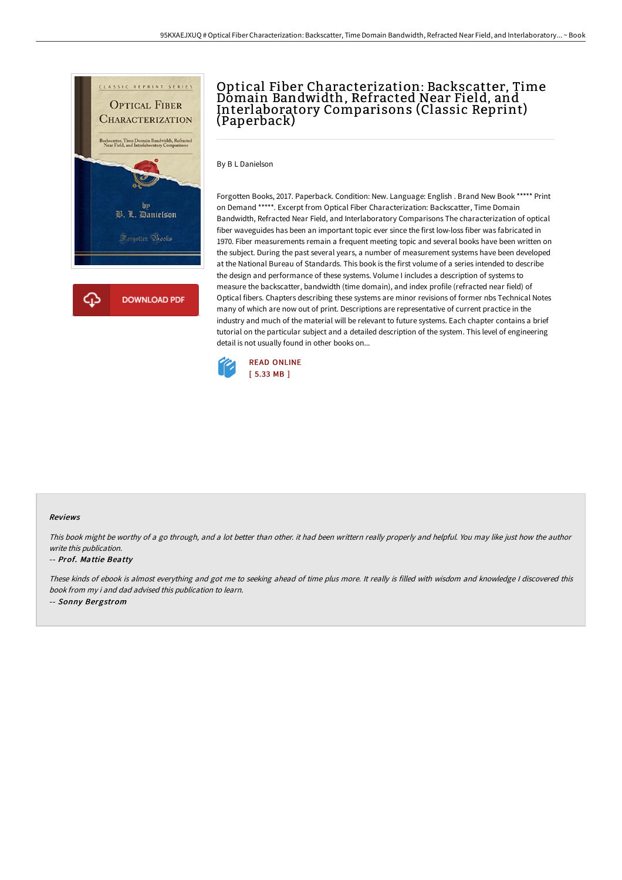

## Optical Fiber Characterization: Backscatter, Time Domain Bandwidth, Refracted Near Field, and Interlaboratory Comparisons (Classic Reprint) (Paperback)

By B L Danielson

Forgotten Books, 2017. Paperback. Condition: New. Language: English . Brand New Book \*\*\*\*\* Print on Demand \*\*\*\*\*. Excerpt from Optical Fiber Characterization: Backscatter, Time Domain Bandwidth, Refracted Near Field, and Interlaboratory Comparisons The characterization of optical fiber waveguides has been an important topic ever since the first low-loss fiber was fabricated in 1970. Fiber measurements remain a frequent meeting topic and several books have been written on the subject. During the past several years, a number of measurement systems have been developed at the National Bureau of Standards. This book is the first volume of a series intended to describe the design and performance of these systems. Volume I includes a description of systems to measure the backscatter, bandwidth (time domain), and index profile (refracted near field) of Optical fibers. Chapters describing these systems are minor revisions of former nbs Technical Notes many of which are now out of print. Descriptions are representative of current practice in the industry and much of the material will be relevant to future systems. Each chapter contains a brief tutorial on the particular subject and a detailed description of the system. This level of engineering detail is not usually found in other books on...



## Reviews

This book might be worthy of <sup>a</sup> go through, and <sup>a</sup> lot better than other. it had been writtern really properly and helpful. You may like just how the author write this publication.

## -- Prof. Mattie Beatty

These kinds of ebook is almost everything and got me to seeking ahead of time plus more. It really is filled with wisdom and knowledge <sup>I</sup> discovered this book from my i and dad advised this publication to learn. -- Sonny Bergstrom